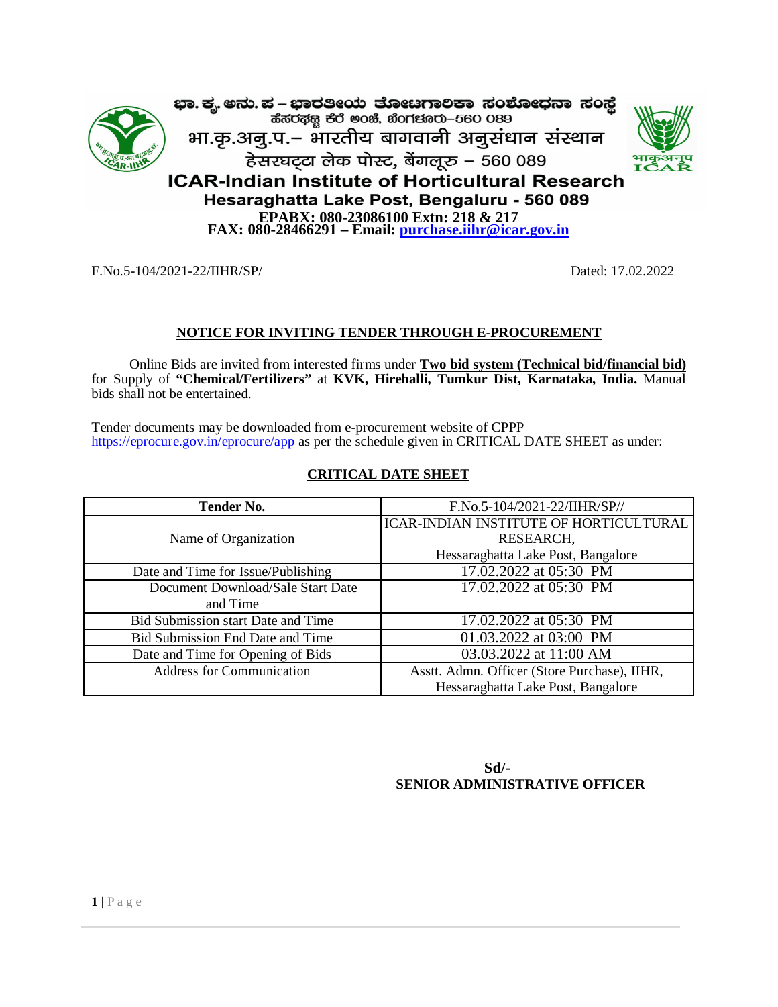

ಭಾ. ಕೃ. ಅನು. ಪ – ಭಾರತೀಯ ತೋಟಗಾಲಿಕಾ ಸಂಶೋಧನಾ ಸಂಸ್ಥೆ - ಕೆಂದರ್ಲಿಂಬ ರಾಂಡೋವರ ಸಂತ भा.कृ.अनु.प.– भारतीय बागवानी अनुसंधान संस्थान हेसरघट्टा लेक पोस्ट, बेंगलूरु – 560 089



**ICAR-Indian Institute of Horticultural Research** Hesaraghatta Lake Post, Bengaluru - 560 089 **EPABX: 080-23086100 Extn: 218 & 217 FAX: 080-28466291 – Email: [purchase.iihr@icar.gov.in](mailto:purchase.iihr@icar.gov.in)**

F.No.5-104/2021-22/IIHR/SP/ Dated: 17.02.2022

# **NOTICE FOR INVITING TENDER THROUGH E-PROCUREMENT**

Online Bids are invited from interested firms under **Two bid system (Technical bid/financial bid)** for Supply of **"Chemical/Fertilizers"** at **KVK, Hirehalli, Tumkur Dist, Karnataka, India.** Manual bids shall not be entertained.

Tender documents may be downloaded from e-procurement website of CPPP https://eprocure.gov.in/eprocure/app as per the schedule given in CRITICAL DATE SHEET as under:

| <b>Tender No.</b>                         | F.No.5-104/2021-22/IIHR/SP//                  |
|-------------------------------------------|-----------------------------------------------|
|                                           | <b>ICAR-INDIAN INSTITUTE OF HORTICULTURAL</b> |
| Name of Organization                      | RESEARCH,                                     |
|                                           | Hessaraghatta Lake Post, Bangalore            |
| Date and Time for Issue/Publishing        | 17.02.2022 at 05:30 PM                        |
| Document Download/Sale Start Date         | 17.02.2022 at 05:30 PM                        |
| and Time                                  |                                               |
| <b>Bid Submission start Date and Time</b> | 17.02.2022 at 05:30 PM                        |
| Bid Submission End Date and Time          | 01.03.2022 at 03:00 PM                        |
| Date and Time for Opening of Bids         | 03.03.2022 at 11:00 AM                        |
| <b>Address for Communication</b>          | Asstt. Admn. Officer (Store Purchase), IIHR,  |
|                                           | Hessaraghatta Lake Post, Bangalore            |

# **CRITICAL DATE SHEET**

# **Sd/- SENIOR ADMINISTRATIVE OFFICER**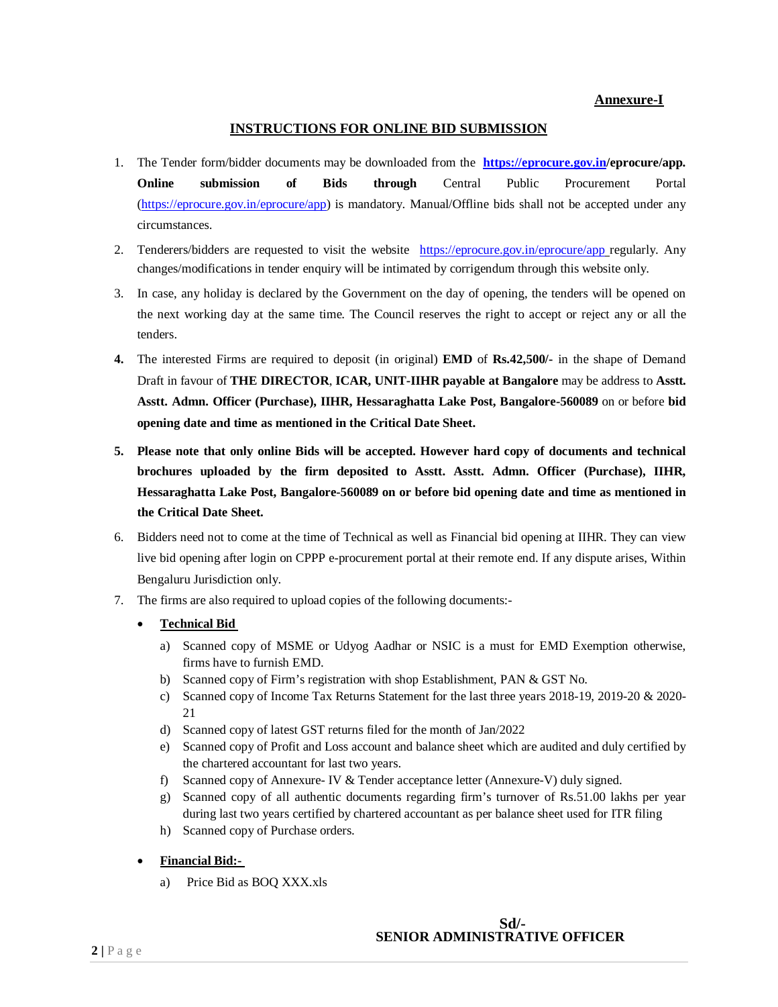#### **Annexure-I**

#### **INSTRUCTIONS FOR ONLINE BID SUBMISSION**

- 1. The Tender form/bidder documents may be downloaded from the **[https://eprocure.gov.in](https://eprocure.gov.in/)/eprocure/app. Online submission of Bids through** Central Public Procurement Portal (https://eprocure.gov.in/eprocure/app) is mandatory. Manual/Offline bids shall not be accepted under any circumstances.
- 2. Tenderers/bidders are requested to visit the website <https://eprocure.gov.in/eprocure/app> regularly. Any changes/modifications in tender enquiry will be intimated by corrigendum through this website only.
- 3. In case, any holiday is declared by the Government on the day of opening, the tenders will be opened on the next working day at the same time. The Council reserves the right to accept or reject any or all the tenders.
- **4.** The interested Firms are required to deposit (in original) **EMD** of **Rs.42,500/-** in the shape of Demand Draft in favour of **THE DIRECTOR**, **ICAR, UNIT-IIHR payable at Bangalore** may be address to **Asstt. Asstt. Admn. Officer (Purchase), IIHR, Hessaraghatta Lake Post, Bangalore-560089** on or before **bid opening date and time as mentioned in the Critical Date Sheet.**
- **5. Please note that only online Bids will be accepted. However hard copy of documents and technical brochures uploaded by the firm deposited to Asstt. Asstt. Admn. Officer (Purchase), IIHR, Hessaraghatta Lake Post, Bangalore-560089 on or before bid opening date and time as mentioned in the Critical Date Sheet.**
- 6. Bidders need not to come at the time of Technical as well as Financial bid opening at IIHR. They can view live bid opening after login on CPPP e-procurement portal at their remote end. If any dispute arises, Within Bengaluru Jurisdiction only.
- 7. The firms are also required to upload copies of the following documents:-

#### **Technical Bid**

- a) Scanned copy of MSME or Udyog Aadhar or NSIC is a must for EMD Exemption otherwise, firms have to furnish EMD.
- b) Scanned copy of Firm's registration with shop Establishment, PAN & GST No.
- c) Scanned copy of Income Tax Returns Statement for the last three years 2018-19, 2019-20 & 2020- 21
- d) Scanned copy of latest GST returns filed for the month of Jan/2022
- e) Scanned copy of Profit and Loss account and balance sheet which are audited and duly certified by the chartered accountant for last two years.
- f) Scanned copy of Annexure- IV & Tender acceptance letter (Annexure-V) duly signed.
- g) Scanned copy of all authentic documents regarding firm's turnover of Rs.51.00 lakhs per year during last two years certified by chartered accountant as per balance sheet used for ITR filing
- h) Scanned copy of Purchase orders.
- **Financial Bid:**
	- a) Price Bid as BOQ XXX.xls

#### $Sd/$  **SENIOR ADMINISTRATIVE OFFICER**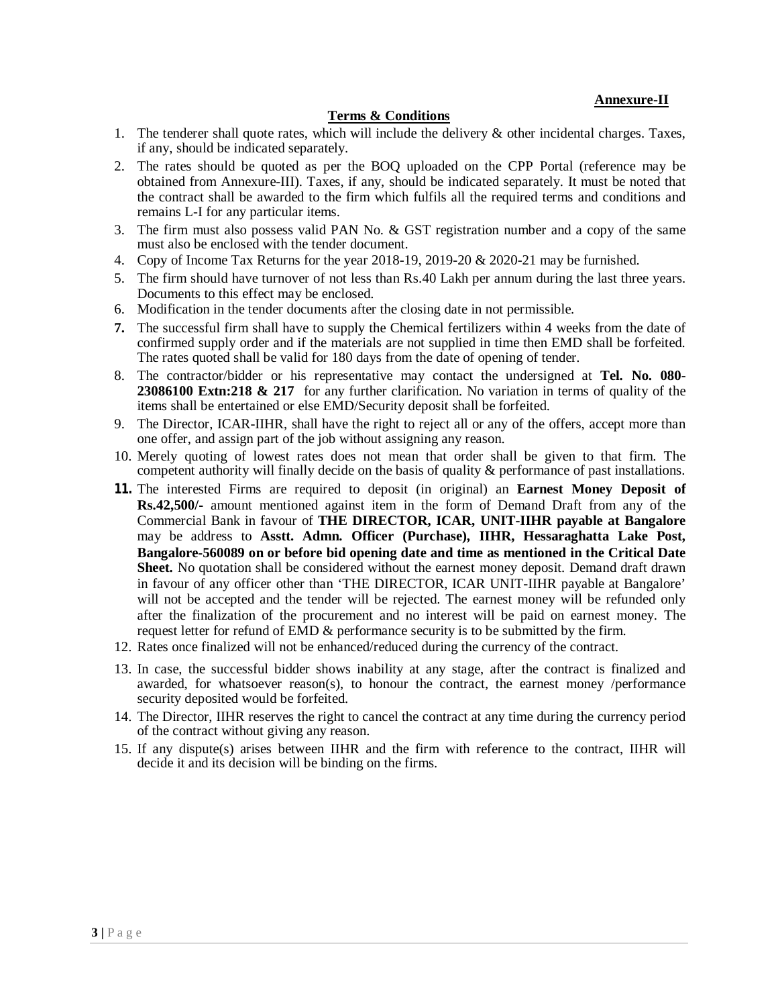**Annexure-II**

## **Terms & Conditions**

- 1. The tenderer shall quote rates, which will include the delivery & other incidental charges. Taxes, if any, should be indicated separately.
- 2. The rates should be quoted as per the BOQ uploaded on the CPP Portal (reference may be obtained from Annexure-III). Taxes, if any, should be indicated separately. It must be noted that the contract shall be awarded to the firm which fulfils all the required terms and conditions and remains L-I for any particular items.
- 3. The firm must also possess valid PAN No. & GST registration number and a copy of the same must also be enclosed with the tender document.
- 4. Copy of Income Tax Returns for the year 2018-19, 2019-20  $& 2020-21$  may be furnished.
- 5. The firm should have turnover of not less than Rs.40 Lakh per annum during the last three years. Documents to this effect may be enclosed.
- 6. Modification in the tender documents after the closing date in not permissible.
- **7.** The successful firm shall have to supply the Chemical fertilizers within 4 weeks from the date of confirmed supply order and if the materials are not supplied in time then EMD shall be forfeited. The rates quoted shall be valid for 180 days from the date of opening of tender.
- 8. The contractor/bidder or his representative may contact the undersigned at **Tel. No. 080- 23086100 Extn:218 & 217** for any further clarification. No variation in terms of quality of the items shall be entertained or else EMD/Security deposit shall be forfeited.
- 9. The Director, ICAR-IIHR, shall have the right to reject all or any of the offers, accept more than one offer, and assign part of the job without assigning any reason.
- 10. Merely quoting of lowest rates does not mean that order shall be given to that firm. The competent authority will finally decide on the basis of quality & performance of past installations.
- **11.** The interested Firms are required to deposit (in original) an **Earnest Money Deposit of Rs.42,500/-** amount mentioned against item in the form of Demand Draft from any of the Commercial Bank in favour of **THE DIRECTOR, ICAR, UNIT-IIHR payable at Bangalore** may be address to **Asstt. Admn. Officer (Purchase), IIHR, Hessaraghatta Lake Post, Bangalore-560089 on or before bid opening date and time as mentioned in the Critical Date Sheet.** No quotation shall be considered without the earnest money deposit. Demand draft drawn in favour of any officer other than 'THE DIRECTOR, ICAR UNIT-IIHR payable at Bangalore' will not be accepted and the tender will be rejected. The earnest money will be refunded only after the finalization of the procurement and no interest will be paid on earnest money. The request letter for refund of EMD  $\&$  performance security is to be submitted by the firm.
- 12. Rates once finalized will not be enhanced/reduced during the currency of the contract.
- 13. In case, the successful bidder shows inability at any stage, after the contract is finalized and awarded, for whatsoever reason(s), to honour the contract, the earnest money /performance security deposited would be forfeited.
- 14. The Director, IIHR reserves the right to cancel the contract at any time during the currency period of the contract without giving any reason.
- 15. If any dispute(s) arises between IIHR and the firm with reference to the contract, IIHR will decide it and its decision will be binding on the firms.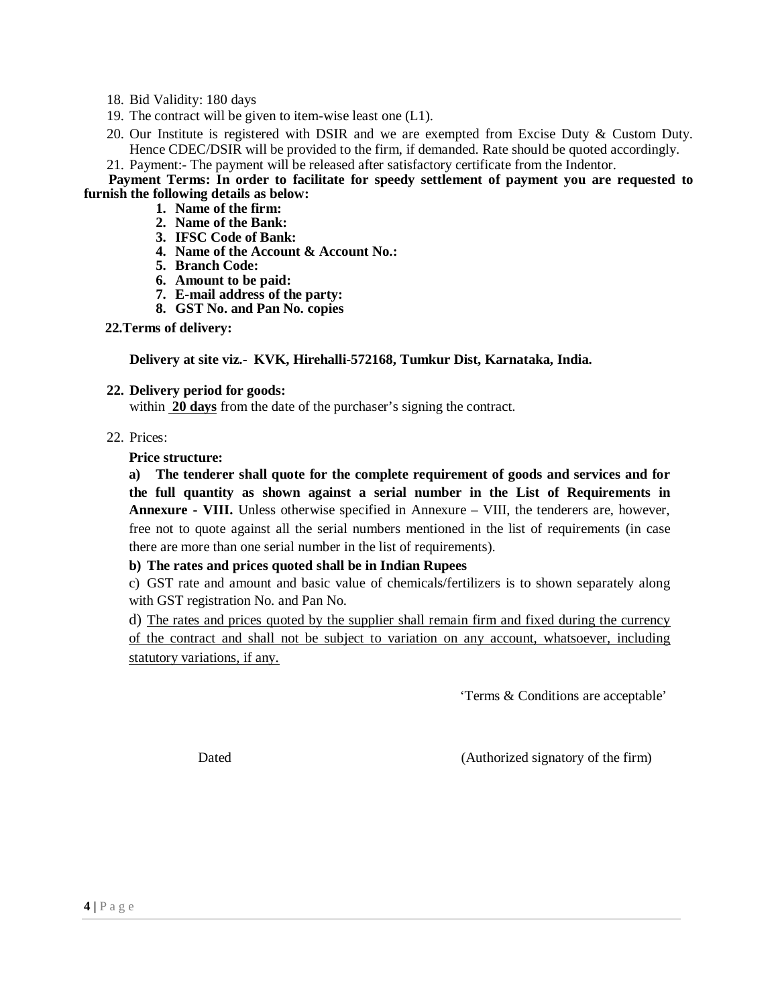- 18. Bid Validity: 180 days
- 19. The contract will be given to item-wise least one (L1).
- 20. Our Institute is registered with DSIR and we are exempted from Excise Duty & Custom Duty. Hence CDEC/DSIR will be provided to the firm, if demanded. Rate should be quoted accordingly.
- 21. Payment:- The payment will be released after satisfactory certificate from the Indentor.

 **Payment Terms: In order to facilitate for speedy settlement of payment you are requested to furnish the following details as below:**

- **1. Name of the firm:**
- **2. Name of the Bank:**
- **3. IFSC Code of Bank:**
- **4. Name of the Account & Account No.:**
- **5. Branch Code:**
- **6. Amount to be paid:**
- **7. E-mail address of the party:**
- **8. GST No. and Pan No. copies**
- **22.Terms of delivery:**

**Delivery at site viz.- KVK, Hirehalli-572168, Tumkur Dist, Karnataka, India.**

#### **22. Delivery period for goods:**

within **20 days** from the date of the purchaser's signing the contract.

22. Prices:

**Price structure:**

**a) The tenderer shall quote for the complete requirement of goods and services and for the full quantity as shown against a serial number in the List of Requirements in Annexure - VIII.** Unless otherwise specified in Annexure – VIII, the tenderers are, however, free not to quote against all the serial numbers mentioned in the list of requirements (in case there are more than one serial number in the list of requirements).

# **b) The rates and prices quoted shall be in Indian Rupees**

c) GST rate and amount and basic value of chemicals/fertilizers is to shown separately along with GST registration No. and Pan No.

d) The rates and prices quoted by the supplier shall remain firm and fixed during the currency of the contract and shall not be subject to variation on any account, whatsoever, including statutory variations, if any.

'Terms & Conditions are acceptable'

Dated (Authorized signatory of the firm)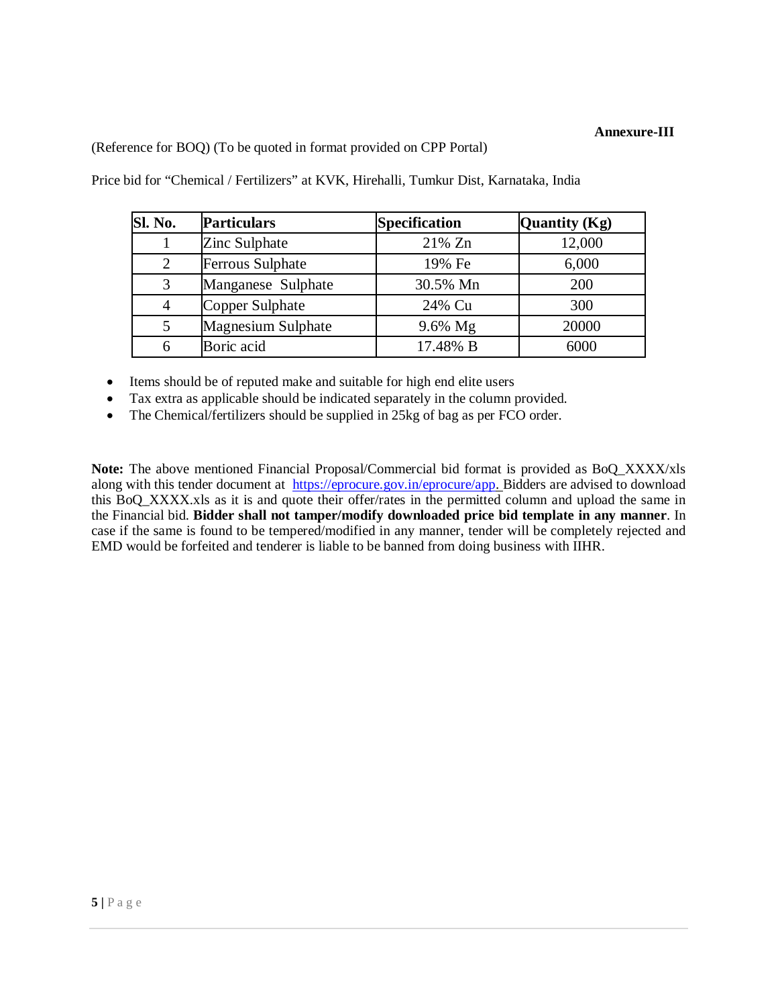## **Annexure-III**

(Reference for BOQ) (To be quoted in format provided on CPP Portal)

| Sl. No. | <b>Particulars</b>        | <b>Specification</b> | <b>Quantity (Kg)</b> |
|---------|---------------------------|----------------------|----------------------|
|         | Zinc Sulphate             | $21\%$ Zn            | 12,000               |
| 2       | <b>Ferrous Sulphate</b>   | 19% Fe               | 6,000                |
| 3       | Manganese Sulphate        | 30.5% Mn             | 200                  |
|         | Copper Sulphate           | 24% Cu               | 300                  |
|         | <b>Magnesium Sulphate</b> | $9.6\%$ Mg           | 20000                |
| h       | Boric acid                | 17.48% B             | 6000                 |

Price bid for "Chemical / Fertilizers" at KVK, Hirehalli, Tumkur Dist, Karnataka, India

Items should be of reputed make and suitable for high end elite users

Tax extra as applicable should be indicated separately in the column provided.

• The Chemical/fertilizers should be supplied in 25kg of bag as per FCO order.

**Note:** The above mentioned Financial Proposal/Commercial bid format is provided as BoQ\_XXXX/xls along with this tender document at [https://eprocure.gov.in/eprocure/app.](https://eprocure.gov.in/eprocure/app) Bidders are advised to download this BoQ\_XXXX.xls as it is and quote their offer/rates in the permitted column and upload the same in the Financial bid. **Bidder shall not tamper/modify downloaded price bid template in any manner**. In case if the same is found to be tempered/modified in any manner, tender will be completely rejected and EMD would be forfeited and tenderer is liable to be banned from doing business with IIHR.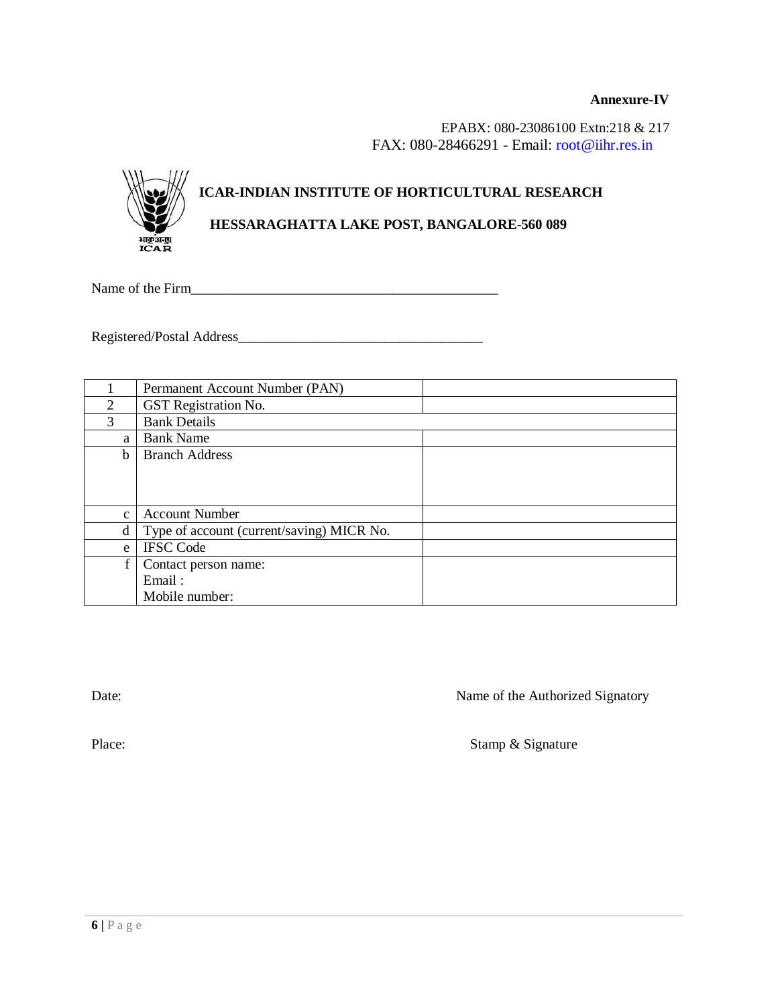## **Annexure-IV**

EPABX: 080-23086100 Extn:218 & 217 FAX: 080-28466291 - Email: root@iihr.res.in



# **ICAR-INDIAN INSTITUTE OF HORTICULTURAL RESEARCH HESSARAGHATTA LAKE POST, BANGALORE-560 089**

Name of the Firm

Registered/Postal Address\_\_\_\_\_\_\_\_\_\_\_\_\_\_\_\_\_\_\_\_\_\_\_\_\_\_\_\_\_\_\_\_\_\_\_

|                             | Permanent Account Number (PAN)            |  |
|-----------------------------|-------------------------------------------|--|
| $\mathcal{D}_{\mathcal{L}}$ | <b>GST</b> Registration No.               |  |
| 3                           | <b>Bank Details</b>                       |  |
| a                           | <b>Bank Name</b>                          |  |
| b                           | <b>Branch Address</b>                     |  |
|                             |                                           |  |
|                             |                                           |  |
|                             |                                           |  |
| $\mathcal{C}$               | <b>Account Number</b>                     |  |
| d                           | Type of account (current/saving) MICR No. |  |
| e                           | <b>IFSC Code</b>                          |  |
|                             | Contact person name:                      |  |
|                             | Email:                                    |  |
|                             | Mobile number:                            |  |

Date: Name of the Authorized Signatory

Place: Stamp & Signature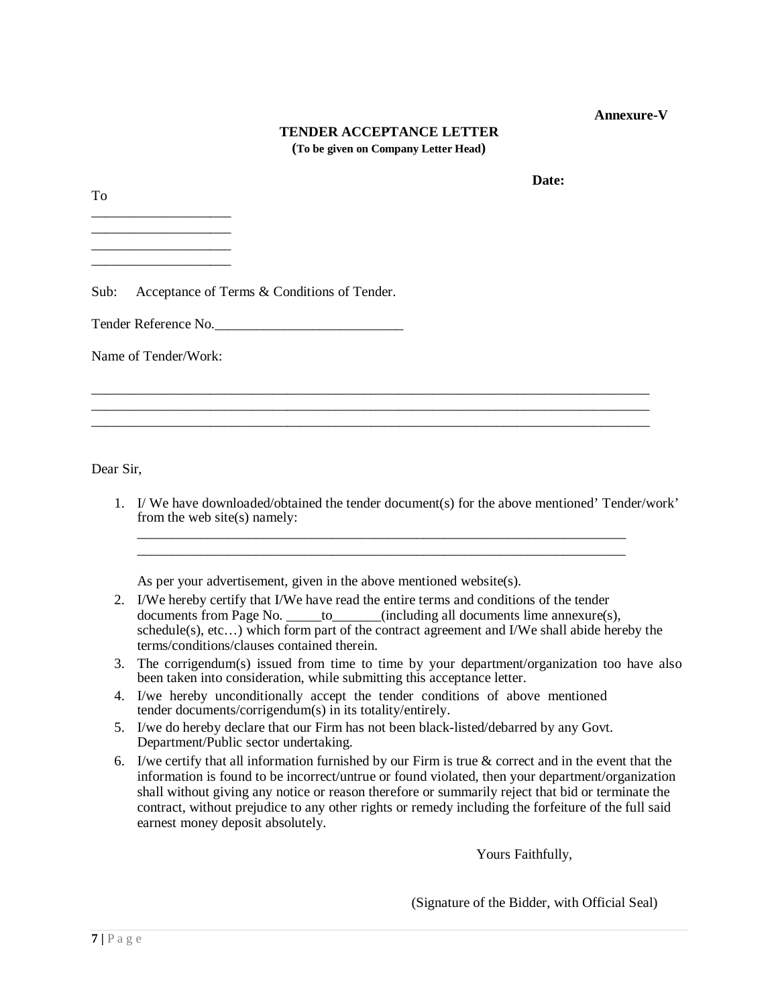#### **Annexure-V**

**Date:**

## **TENDER ACCEPTANCE LETTER (To be given on Company Letter Head)**

To

\_\_\_\_\_\_\_\_\_\_\_\_\_\_\_\_\_\_\_\_ \_\_\_\_\_\_\_\_\_\_\_\_\_\_\_\_\_\_\_\_ \_\_\_\_\_\_\_\_\_\_\_\_\_\_\_\_\_\_\_\_

\_\_\_\_\_\_\_\_\_\_\_\_\_\_\_\_\_\_\_\_

Sub: Acceptance of Terms & Conditions of Tender.

Tender Reference No.

Name of Tender/Work:

Dear Sir,

1. I/ We have downloaded/obtained the tender document(s) for the above mentioned' Tender/work' from the web site(s) namely:

\_\_\_\_\_\_\_\_\_\_\_\_\_\_\_\_\_\_\_\_\_\_\_\_\_\_\_\_\_\_\_\_\_\_\_\_\_\_\_\_\_\_\_\_\_\_\_\_\_\_\_\_\_\_\_\_\_\_\_\_\_\_\_\_\_\_\_\_\_\_ \_\_\_\_\_\_\_\_\_\_\_\_\_\_\_\_\_\_\_\_\_\_\_\_\_\_\_\_\_\_\_\_\_\_\_\_\_\_\_\_\_\_\_\_\_\_\_\_\_\_\_\_\_\_\_\_\_\_\_\_\_\_\_\_\_\_\_\_\_\_

\_\_\_\_\_\_\_\_\_\_\_\_\_\_\_\_\_\_\_\_\_\_\_\_\_\_\_\_\_\_\_\_\_\_\_\_\_\_\_\_\_\_\_\_\_\_\_\_\_\_\_\_\_\_\_\_\_\_\_\_\_\_\_\_\_\_\_\_\_\_\_\_\_\_\_\_\_\_\_\_ \_\_\_\_\_\_\_\_\_\_\_\_\_\_\_\_\_\_\_\_\_\_\_\_\_\_\_\_\_\_\_\_\_\_\_\_\_\_\_\_\_\_\_\_\_\_\_\_\_\_\_\_\_\_\_\_\_\_\_\_\_\_\_\_\_\_\_\_\_\_\_\_\_\_\_\_\_\_\_\_ \_\_\_\_\_\_\_\_\_\_\_\_\_\_\_\_\_\_\_\_\_\_\_\_\_\_\_\_\_\_\_\_\_\_\_\_\_\_\_\_\_\_\_\_\_\_\_\_\_\_\_\_\_\_\_\_\_\_\_\_\_\_\_\_\_\_\_\_\_\_\_\_\_\_\_\_\_\_\_\_

As per your advertisement, given in the above mentioned website(s).

- 2. I/We hereby certify that I/We have read the entire terms and conditions of the tender documents from Page No. \_\_\_\_\_to\_\_\_\_\_(including all documents lime annexure(s), schedule(s), etc...) which form part of the contract agreement and I/We shall abide hereby the terms/conditions/clauses contained therein.
- 3. The corrigendum(s) issued from time to time by your department/organization too have also been taken into consideration, while submitting this acceptance letter.
- 4. I/we hereby unconditionally accept the tender conditions of above mentioned tender documents/corrigendum(s) in its totality/entirely.
- 5. I/we do hereby declare that our Firm has not been black-listed/debarred by any Govt. Department/Public sector undertaking.
- 6. I/we certify that all information furnished by our Firm is true & correct and in the event that the information is found to be incorrect/untrue or found violated, then your department/organization shall without giving any notice or reason therefore or summarily reject that bid or terminate the contract, without prejudice to any other rights or remedy including the forfeiture of the full said earnest money deposit absolutely.

Yours Faithfully,

(Signature of the Bidder, with Official Seal)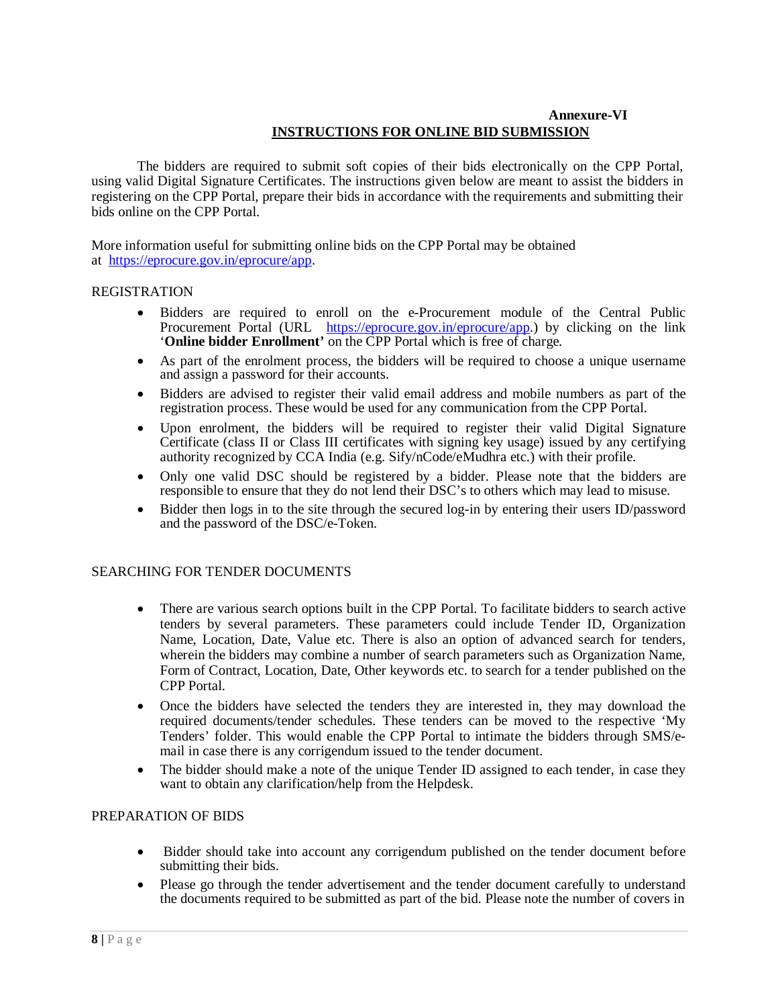## **Annexure-VI INSTRUCTIONS FOR ONLINE BID SUBMISSION**

The bidders are required to submit soft copies of their bids electronically on the CPP Portal, using valid Digital Signature Certificates. The instructions given below are meant to assist the bidders in registering on the CPP Portal, prepare their bids in accordance with the requirements and submitting their bids online on the CPP Portal.

More information useful for submitting online bids on the CPP Portal may be obtained at [https://eprocure.gov.in/eprocure/app.](https://eprocure.gov.in/eprocure/app)

#### REGISTRATION

- Bidders are required to enroll on the e-Procurement module of the Central Public Procurement Portal (URL <https://eprocure.gov.in/eprocure/app>.) by clicking on the link '**Online bidder Enrollment'** on the CPP Portal which is free of charge.
- As part of the enrolment process, the bidders will be required to choose a unique username and assign a password for their accounts.
- Bidders are advised to register their valid email address and mobile numbers as part of the registration process. These would be used for any communication from the CPP Portal.
- Upon enrolment, the bidders will be required to register their valid Digital Signature Certificate (class II or Class III certificates with signing key usage) issued by any certifying authority recognized by CCA India (e.g. Sify/nCode/eMudhra etc.) with their profile.
- Only one valid DSC should be registered by a bidder. Please note that the bidders are responsible to ensure that they do not lend their DSC's to others which may lead to misuse.
- Bidder then logs in to the site through the secured log-in by entering their users ID/password and the password of the DSC/e-Token.

#### SEARCHING FOR TENDER DOCUMENTS

- There are various search options built in the CPP Portal. To facilitate bidders to search active tenders by several parameters. These parameters could include Tender ID, Organization Name, Location, Date, Value etc. There is also an option of advanced search for tenders, wherein the bidders may combine a number of search parameters such as Organization Name, Form of Contract, Location, Date, Other keywords etc. to search for a tender published on the CPP Portal.
- Once the bidders have selected the tenders they are interested in, they may download the required documents/tender schedules. These tenders can be moved to the respective 'My Tenders' folder. This would enable the CPP Portal to intimate the bidders through SMS/email in case there is any corrigendum issued to the tender document.
- The bidder should make a note of the unique Tender ID assigned to each tender, in case they want to obtain any clarification/help from the Helpdesk.

#### PREPARATION OF BIDS

- Bidder should take into account any corrigendum published on the tender document before submitting their bids.
- Please go through the tender advertisement and the tender document carefully to understand the documents required to be submitted as part of the bid. Please note the number of covers in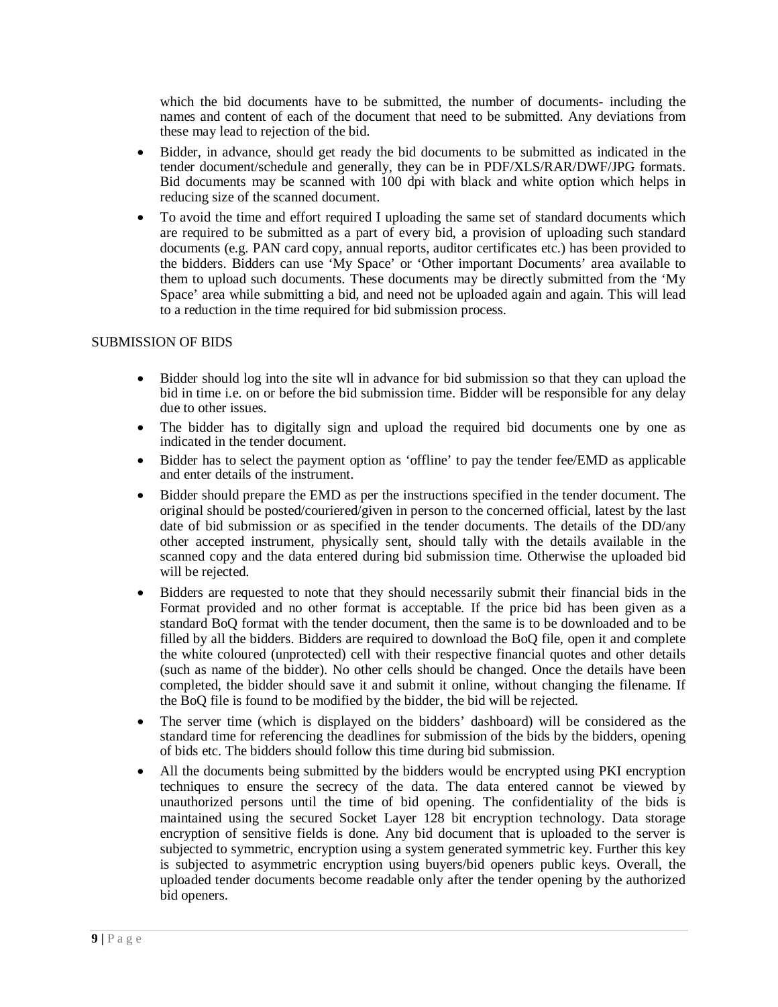which the bid documents have to be submitted, the number of documents- including the names and content of each of the document that need to be submitted. Any deviations from these may lead to rejection of the bid.

- Bidder, in advance, should get ready the bid documents to be submitted as indicated in the tender document/schedule and generally, they can be in PDF/XLS/RAR/DWF/JPG formats. Bid documents may be scanned with 100 dpi with black and white option which helps in reducing size of the scanned document.
- To avoid the time and effort required I uploading the same set of standard documents which are required to be submitted as a part of every bid, a provision of uploading such standard documents (e.g. PAN card copy, annual reports, auditor certificates etc.) has been provided to the bidders. Bidders can use 'My Space' or 'Other important Documents' area available to them to upload such documents. These documents may be directly submitted from the 'My Space' area while submitting a bid, and need not be uploaded again and again. This will lead to a reduction in the time required for bid submission process.

## SUBMISSION OF BIDS

- Bidder should log into the site wll in advance for bid submission so that they can upload the bid in time i.e. on or before the bid submission time. Bidder will be responsible for any delay due to other issues.
- The bidder has to digitally sign and upload the required bid documents one by one as indicated in the tender document.
- Bidder has to select the payment option as 'offline' to pay the tender fee/EMD as applicable and enter details of the instrument.
- Bidder should prepare the EMD as per the instructions specified in the tender document. The original should be posted/couriered/given in person to the concerned official, latest by the last date of bid submission or as specified in the tender documents. The details of the DD/any other accepted instrument, physically sent, should tally with the details available in the scanned copy and the data entered during bid submission time. Otherwise the uploaded bid will be rejected.
- Bidders are requested to note that they should necessarily submit their financial bids in the Format provided and no other format is acceptable. If the price bid has been given as a standard BoQ format with the tender document, then the same is to be downloaded and to be filled by all the bidders. Bidders are required to download the BoQ file, open it and complete the white coloured (unprotected) cell with their respective financial quotes and other details (such as name of the bidder). No other cells should be changed. Once the details have been completed, the bidder should save it and submit it online, without changing the filename. If the BoQ file is found to be modified by the bidder, the bid will be rejected.
- The server time (which is displayed on the bidders' dashboard) will be considered as the standard time for referencing the deadlines for submission of the bids by the bidders, opening of bids etc. The bidders should follow this time during bid submission.
- All the documents being submitted by the bidders would be encrypted using PKI encryption techniques to ensure the secrecy of the data. The data entered cannot be viewed by unauthorized persons until the time of bid opening. The confidentiality of the bids is maintained using the secured Socket Layer 128 bit encryption technology. Data storage encryption of sensitive fields is done. Any bid document that is uploaded to the server is subjected to symmetric, encryption using a system generated symmetric key. Further this key is subjected to asymmetric encryption using buyers/bid openers public keys. Overall, the uploaded tender documents become readable only after the tender opening by the authorized bid openers.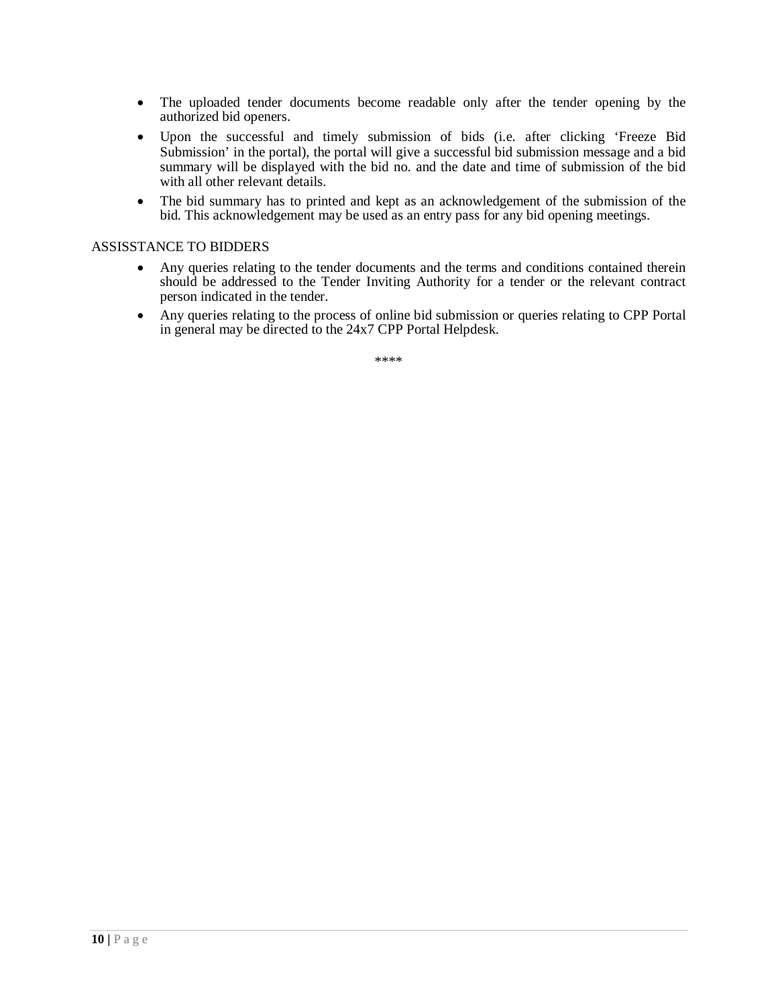- The uploaded tender documents become readable only after the tender opening by the authorized bid openers.
- Upon the successful and timely submission of bids (i.e. after clicking 'Freeze Bid Submission' in the portal), the portal will give a successful bid submission message and a bid summary will be displayed with the bid no. and the date and time of submission of the bid with all other relevant details.
- The bid summary has to printed and kept as an acknowledgement of the submission of the bid. This acknowledgement may be used as an entry pass for any bid opening meetings.

#### ASSISSTANCE TO BIDDERS

- Any queries relating to the tender documents and the terms and conditions contained therein should be addressed to the Tender Inviting Authority for a tender or the relevant contract person indicated in the tender.
- Any queries relating to the process of online bid submission or queries relating to CPP Portal in general may be directed to the 24x7 CPP Portal Helpdesk.

\*\*\*\*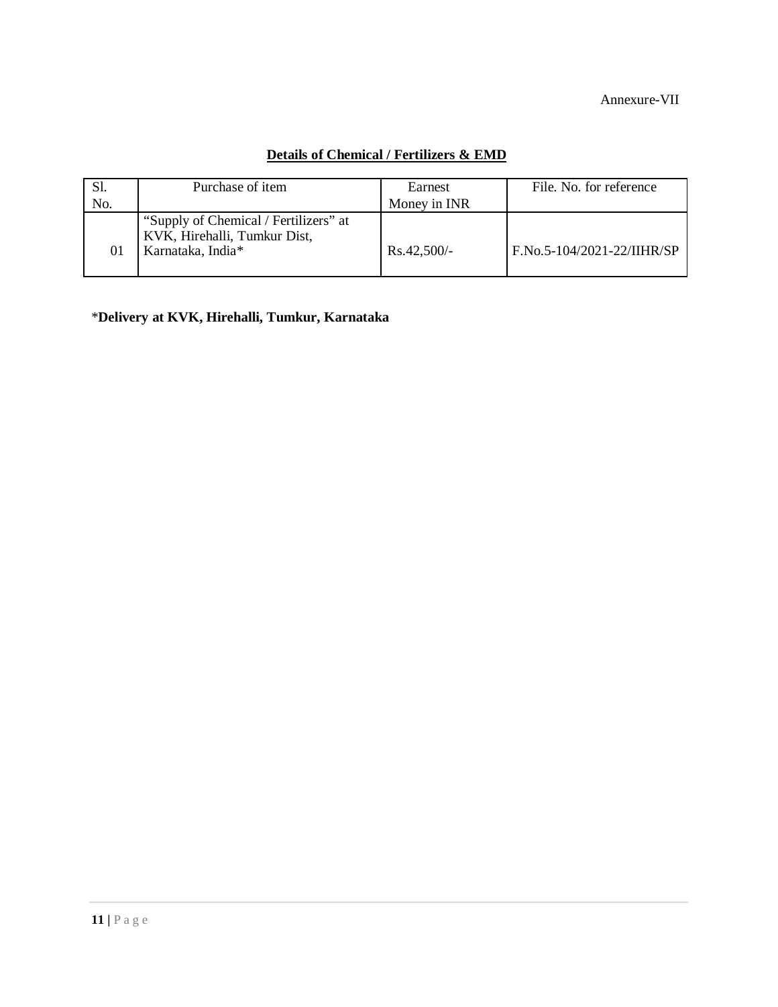# **Details of Chemical / Fertilizers & EMD**

|     | Purchase of item                                                                           | Earnest       | File. No. for reference    |
|-----|--------------------------------------------------------------------------------------------|---------------|----------------------------|
| No. |                                                                                            | Money in INR  |                            |
| 01  | "Supply of Chemical / Fertilizers" at<br>KVK, Hirehalli, Tumkur Dist,<br>Karnataka, India* | $Rs.42,500/-$ | F.No.5-104/2021-22/IIHR/SP |

\***Delivery at KVK, Hirehalli, Tumkur, Karnataka**